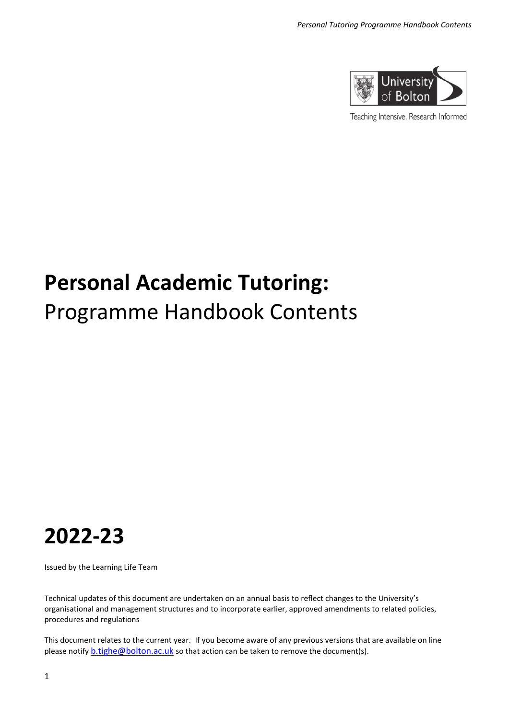

Teaching Intensive, Research Informed

# **Personal Academic Tutoring:** Programme Handbook Contents

# **2022-23**

Issued by the Learning Life Team

Technical updates of this document are undertaken on an annual basis to reflect changes to the University's organisational and management structures and to incorporate earlier, approved amendments to related policies, procedures and regulations

This document relates to the current year. If you become aware of any previous versions that are available on line please notify [b.tighe@bolton.ac.uk](mailto:b.tighe@bolton.ac.uk) so that action can be taken to remove the document(s).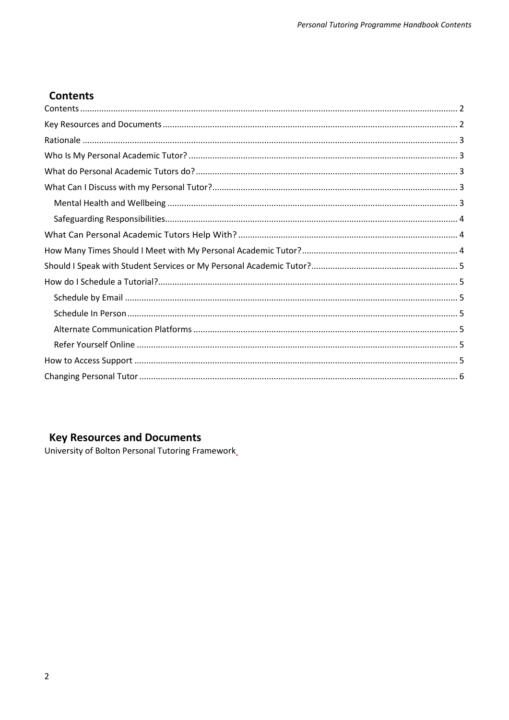#### <span id="page-1-0"></span>**Contents**  $\overline{a}$

# <span id="page-1-1"></span>**Key Resources and Documents**

University of Bolton Personal Tutoring Framework\_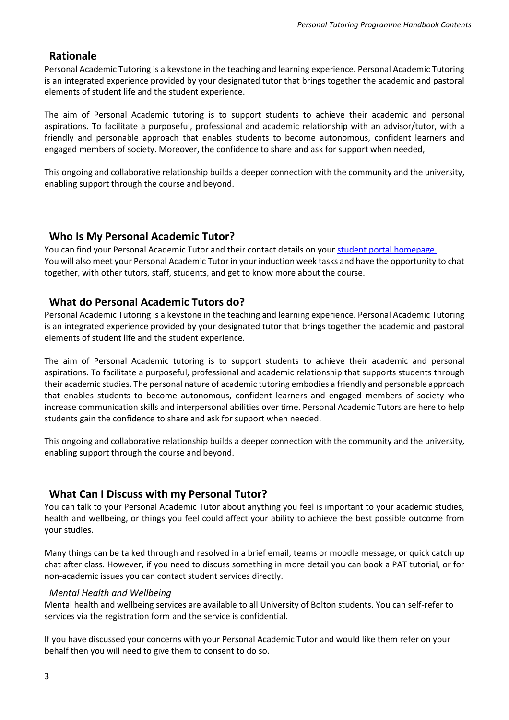### <span id="page-2-0"></span>**Rationale**

Personal Academic Tutoring is a keystone in the teaching and learning experience. Personal Academic Tutoring is an integrated experience provided by your designated tutor that brings together the academic and pastoral elements of student life and the student experience.

The aim of Personal Academic tutoring is to support students to achieve their academic and personal aspirations. To facilitate a purposeful, professional and academic relationship with an advisor/tutor, with a friendly and personable approach that enables students to become autonomous, confident learners and engaged members of society. Moreover, the confidence to share and ask for support when needed,

This ongoing and collaborative relationship builds a deeper connection with the community and the university, enabling support through the course and beyond.

#### <span id="page-2-1"></span>**Who Is My Personal Academic Tutor?**

You can find your Personal Academic Tutor and their contact details on you[r student portal homepage.](https://evision.bolton.ac.uk/urd/sits.urd/run/siw_lgn?_its=JTdCJTIydmlkJTIyJTNBJTIyMDlkZDgyMzMtNGNjNy00YmY1LWIxODEtMWEzNjg0NjE0MDNkJTIyJTJDJTIyc3RhdGUlMjIlM0ElMjJybHR%2BMTY0NzU5NzA1OH5sYW5kfjJfODMwNjNfZGlyZWN0XzExNzQ1MDg1ZTQxNmE5NzM2NjE3NTFkZTAzNzcxYzkxJTIyJTJDJTIyc2l0ZUlkJTIyJTNBMTE2MzMlN0Q%3D) You will also meet your Personal Academic Tutor in your induction week tasks and have the opportunity to chat together, with other tutors, staff, students, and get to know more about the course.

#### <span id="page-2-2"></span>**What do Personal Academic Tutors do?**

Personal Academic Tutoring is a keystone in the teaching and learning experience. Personal Academic Tutoring is an integrated experience provided by your designated tutor that brings together the academic and pastoral elements of student life and the student experience.

The aim of Personal Academic tutoring is to support students to achieve their academic and personal aspirations. To facilitate a purposeful, professional and academic relationship that supports students through their academic studies. The personal nature of academic tutoring embodies a friendly and personable approach that enables students to become autonomous, confident learners and engaged members of society who increase communication skills and interpersonal abilities over time. Personal Academic Tutors are here to help students gain the confidence to share and ask for support when needed.

This ongoing and collaborative relationship builds a deeper connection with the community and the university, enabling support through the course and beyond.

#### <span id="page-2-3"></span>**What Can I Discuss with my Personal Tutor?**

You can talk to your Personal Academic Tutor about anything you feel is important to your academic studies, health and wellbeing, or things you feel could affect your ability to achieve the best possible outcome from your studies.

Many things can be talked through and resolved in a brief email, teams or moodle message, or quick catch up chat after class. However, if you need to discuss something in more detail you can book a PAT tutorial, or for non-academic issues you can contact student services directly.

#### <span id="page-2-4"></span>*Mental Health and Wellbeing*

Mental health and wellbeing services are available to all University of Bolton students. You can self-refer to services via the registration form and the service is confidential.

If you have discussed your concerns with your Personal Academic Tutor and would like them refer on your behalf then you will need to give them to consent to do so.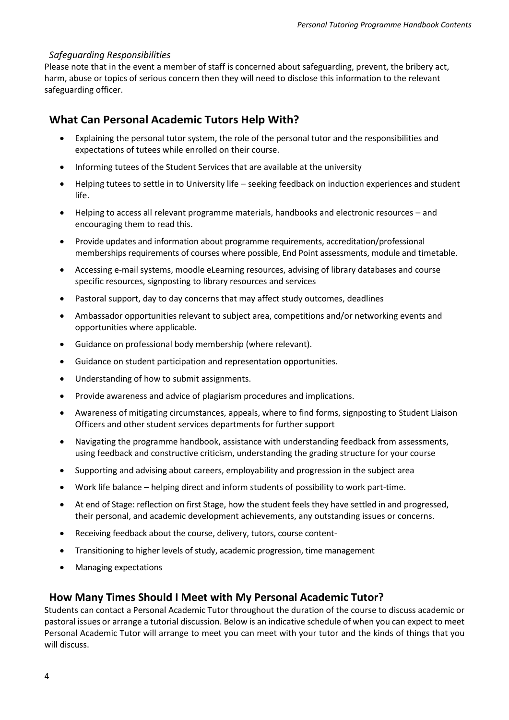#### <span id="page-3-0"></span>*Safeguarding Responsibilities*

Please note that in the event a member of staff is concerned about safeguarding, prevent, the bribery act, harm, abuse or topics of serious concern then they will need to disclose this information to the relevant safeguarding officer.

#### <span id="page-3-1"></span>**What Can Personal Academic Tutors Help With?**

- Explaining the personal tutor system, the role of the personal tutor and the responsibilities and expectations of tutees while enrolled on their course.
- Informing tutees of the Student Services that are available at the university
- Helping tutees to settle in to University life seeking feedback on induction experiences and student life.
- Helping to access all relevant programme materials, handbooks and electronic resources and encouraging them to read this.
- Provide updates and information about programme requirements, accreditation/professional memberships requirements of courses where possible, End Point assessments, module and timetable.
- Accessing e-mail systems, moodle eLearning resources, advising of library databases and course specific resources, signposting to library resources and services
- Pastoral support, day to day concerns that may affect study outcomes, deadlines
- Ambassador opportunities relevant to subject area, competitions and/or networking events and opportunities where applicable.
- Guidance on professional body membership (where relevant).
- Guidance on student participation and representation opportunities.
- Understanding of how to submit assignments.
- Provide awareness and advice of plagiarism procedures and implications.
- Awareness of mitigating circumstances, appeals, where to find forms, signposting to Student Liaison Officers and other student services departments for further support
- Navigating the programme handbook, assistance with understanding feedback from assessments, using feedback and constructive criticism, understanding the grading structure for your course
- Supporting and advising about careers, employability and progression in the subject area
- Work life balance helping direct and inform students of possibility to work part-time.
- At end of Stage: reflection on first Stage, how the student feels they have settled in and progressed, their personal, and academic development achievements, any outstanding issues or concerns.
- Receiving feedback about the course, delivery, tutors, course content-
- Transitioning to higher levels of study, academic progression, time management
- Managing expectations

#### <span id="page-3-2"></span>**How Many Times Should I Meet with My Personal Academic Tutor?**

Students can contact a Personal Academic Tutor throughout the duration of the course to discuss academic or pastoral issues or arrange a tutorial discussion. Below is an indicative schedule of when you can expect to meet Personal Academic Tutor will arrange to meet you can meet with your tutor and the kinds of things that you will discuss.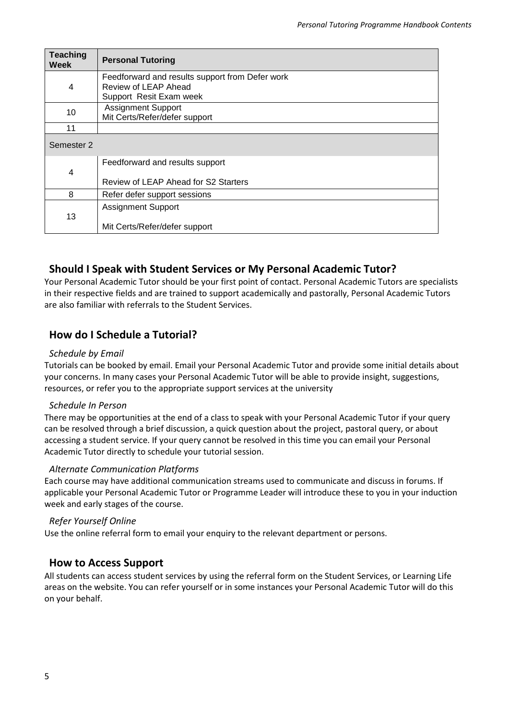| <b>Teaching</b><br>Week | <b>Personal Tutoring</b>                                                                           |
|-------------------------|----------------------------------------------------------------------------------------------------|
| 4                       | Feedforward and results support from Defer work<br>Review of LEAP Ahead<br>Support Resit Exam week |
| 10                      | <b>Assignment Support</b><br>Mit Certs/Refer/defer support                                         |
| 11                      |                                                                                                    |
| Semester 2              |                                                                                                    |
| 4                       | Feedforward and results support                                                                    |
|                         | Review of LEAP Ahead for S2 Starters                                                               |
| 8                       | Refer defer support sessions                                                                       |
| 13                      | <b>Assignment Support</b>                                                                          |
|                         | Mit Certs/Refer/defer support                                                                      |

#### <span id="page-4-0"></span>**Should I Speak with Student Services or My Personal Academic Tutor?**

Your Personal Academic Tutor should be your first point of contact. Personal Academic Tutors are specialists in their respective fields and are trained to support academically and pastorally, Personal Academic Tutors are also familiar with referrals to the Student Services.

### <span id="page-4-1"></span>**How do I Schedule a Tutorial?**

#### <span id="page-4-2"></span>*Schedule by Email*

Tutorials can be booked by email. Email your Personal Academic Tutor and provide some initial details about your concerns. In many cases your Personal Academic Tutor will be able to provide insight, suggestions, resources, or refer you to the appropriate support services at the university

#### <span id="page-4-3"></span>*Schedule In Person*

There may be opportunities at the end of a class to speak with your Personal Academic Tutor if your query can be resolved through a brief discussion, a quick question about the project, pastoral query, or about accessing a student service. If your query cannot be resolved in this time you can email your Personal Academic Tutor directly to schedule your tutorial session.

#### <span id="page-4-4"></span>*Alternate Communication Platforms*

Each course may have additional communication streams used to communicate and discuss in forums. If applicable your Personal Academic Tutor or Programme Leader will introduce these to you in your induction week and early stages of the course.

#### <span id="page-4-5"></span>*Refer Yourself Online*

Use the online referral form to email your enquiry to the relevant department or persons.

#### <span id="page-4-6"></span>**How to Access Support**

All students can access student services by using the referral form on the Student Services, or Learning Life areas on the website. You can refer yourself or in some instances your Personal Academic Tutor will do this on your behalf.